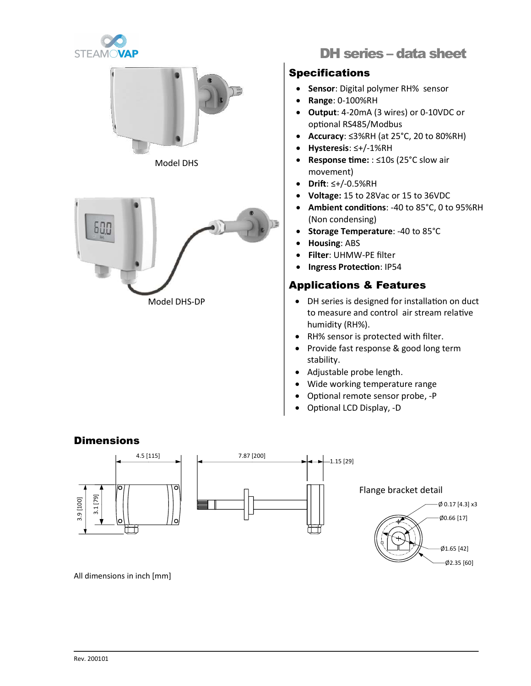



Model DHS



# DH series – data sheet

## Specifications

- Sensor: Digital polymer RH% sensor
- Range: 0-100%RH
- **Output:** 4-20mA (3 wires) or 0-10VDC or optional RS485/Modbus
- Accuracy: ≤3%RH (at 25°C, 20 to 80%RH)
- Hysteresis: ≤+/-1%RH
- Response time: : ≤10s (25°C slow air movement)
- Drift:  $\leq +/-0.5\%$ RH
- Voltage: 15 to 28Vac or 15 to 36VDC
- Ambient conditions: -40 to 85°C, 0 to 95%RH (Non condensing)
- Storage Temperature: -40 to 85°C
- Housing: ABS
- Filter: UHMW-PE filter
- Ingress Protection: IP54

## Applications & Features

- DH series is designed for installation on duct to measure and control air stream relative humidity (RH%).
- RH% sensor is protected with filter.
- Provide fast response & good long term stability.
- Adjustable probe length.
- Wide working temperature range
- Optional remote sensor probe, -P
- Optional LCD Display, -D

#### **Dimensions**



All dimensions in inch [mm]